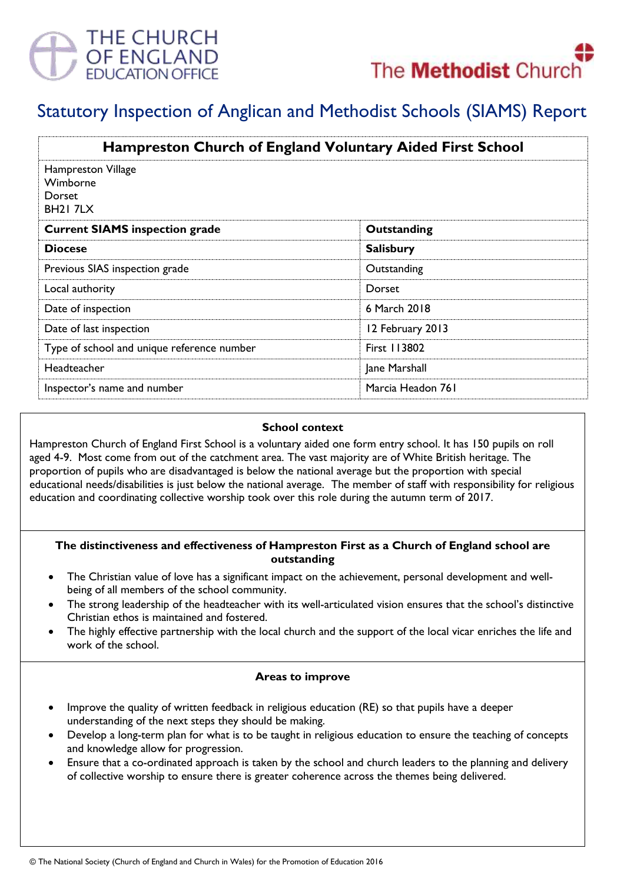



# Statutory Inspection of Anglican and Methodist Schools (SIAMS) Report

| <b>Hampreston Church of England Voluntary Aided First School</b><br>Hampreston Village<br>Wimborne<br><b>Dorset</b><br><b>BH21 7LX</b> |                     |
|----------------------------------------------------------------------------------------------------------------------------------------|---------------------|
|                                                                                                                                        |                     |
| <b>Diocese</b>                                                                                                                         | <b>Salisbury</b>    |
| Previous SIAS inspection grade                                                                                                         | Outstanding         |
| Local authority                                                                                                                        | Dorset              |
| Date of inspection                                                                                                                     | 6 March 2018        |
| Date of last inspection                                                                                                                | 12 February 2013    |
| Type of school and unique reference number                                                                                             | <b>First 113802</b> |
| Headteacher                                                                                                                            | Jane Marshall       |
| Inspector's name and number                                                                                                            | Marcia Headon 761   |

#### **School context**

Hampreston Church of England First School is a voluntary aided one form entry school. It has 150 pupils on roll aged 4-9. Most come from out of the catchment area. The vast majority are of White British heritage. The proportion of pupils who are disadvantaged is below the national average but the proportion with special educational needs/disabilities is just below the national average. The member of staff with responsibility for religious education and coordinating collective worship took over this role during the autumn term of 2017.

#### **The distinctiveness and effectiveness of Hampreston First as a Church of England school are outstanding**

- The Christian value of love has a significant impact on the achievement, personal development and wellbeing of all members of the school community.
- The strong leadership of the headteacher with its well-articulated vision ensures that the school's distinctive Christian ethos is maintained and fostered.
- The highly effective partnership with the local church and the support of the local vicar enriches the life and work of the school.

#### **Areas to improve**

- Improve the quality of written feedback in religious education (RE) so that pupils have a deeper understanding of the next steps they should be making.
- Develop a long-term plan for what is to be taught in religious education to ensure the teaching of concepts and knowledge allow for progression.
- Ensure that a co-ordinated approach is taken by the school and church leaders to the planning and delivery of collective worship to ensure there is greater coherence across the themes being delivered.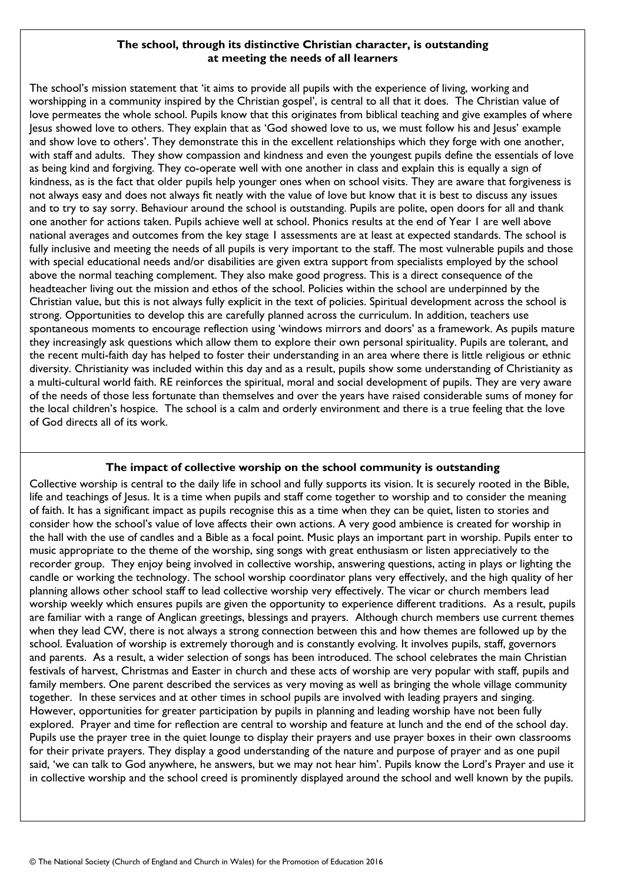### **The school, through its distinctive Christian character, is outstanding at meeting the needs of all learners**

The school's mission statement that 'it aims to provide all pupils with the experience of living, working and worshipping in a community inspired by the Christian gospel', is central to all that it does. The Christian value of love permeates the whole school. Pupils know that this originates from biblical teaching and give examples of where Jesus showed love to others. They explain that as 'God showed love to us, we must follow his and Jesus' example and show love to others'. They demonstrate this in the excellent relationships which they forge with one another, with staff and adults. They show compassion and kindness and even the youngest pupils define the essentials of love as being kind and forgiving. They co-operate well with one another in class and explain this is equally a sign of kindness, as is the fact that older pupils help younger ones when on school visits. They are aware that forgiveness is not always easy and does not always fit neatly with the value of love but know that it is best to discuss any issues and to try to say sorry. Behaviour around the school is outstanding. Pupils are polite, open doors for all and thank one another for actions taken. Pupils achieve well at school. Phonics results at the end of Year 1 are well above national averages and outcomes from the key stage 1 assessments are at least at expected standards. The school is fully inclusive and meeting the needs of all pupils is very important to the staff. The most vulnerable pupils and those with special educational needs and/or disabilities are given extra support from specialists employed by the school above the normal teaching complement. They also make good progress. This is a direct consequence of the headteacher living out the mission and ethos of the school. Policies within the school are underpinned by the Christian value, but this is not always fully explicit in the text of policies. Spiritual development across the school is strong. Opportunities to develop this are carefully planned across the curriculum. In addition, teachers use spontaneous moments to encourage reflection using 'windows mirrors and doors' as a framework. As pupils mature they increasingly ask questions which allow them to explore their own personal spirituality. Pupils are tolerant, and the recent multi-faith day has helped to foster their understanding in an area where there is little religious or ethnic diversity. Christianity was included within this day and as a result, pupils show some understanding of Christianity as a multi-cultural world faith. RE reinforces the spiritual, moral and social development of pupils. They are very aware of the needs of those less fortunate than themselves and over the years have raised considerable sums of money for the local children's hospice. The school is a calm and orderly environment and there is a true feeling that the love of God directs all of its work.

## **The impact of collective worship on the school community is outstanding**

Collective worship is central to the daily life in school and fully supports its vision. It is securely rooted in the Bible, life and teachings of Jesus. It is a time when pupils and staff come together to worship and to consider the meaning of faith. It has a significant impact as pupils recognise this as a time when they can be quiet, listen to stories and consider how the school's value of love affects their own actions. A very good ambience is created for worship in the hall with the use of candles and a Bible as a focal point. Music plays an important part in worship. Pupils enter to music appropriate to the theme of the worship, sing songs with great enthusiasm or listen appreciatively to the recorder group. They enjoy being involved in collective worship, answering questions, acting in plays or lighting the candle or working the technology. The school worship coordinator plans very effectively, and the high quality of her planning allows other school staff to lead collective worship very effectively. The vicar or church members lead worship weekly which ensures pupils are given the opportunity to experience different traditions. As a result, pupils are familiar with a range of Anglican greetings, blessings and prayers. Although church members use current themes when they lead CW, there is not always a strong connection between this and how themes are followed up by the school. Evaluation of worship is extremely thorough and is constantly evolving. It involves pupils, staff, governors and parents. As a result, a wider selection of songs has been introduced. The school celebrates the main Christian festivals of harvest, Christmas and Easter in church and these acts of worship are very popular with staff, pupils and family members. One parent described the services as very moving as well as bringing the whole village community together. In these services and at other times in school pupils are involved with leading prayers and singing. However, opportunities for greater participation by pupils in planning and leading worship have not been fully explored. Prayer and time for reflection are central to worship and feature at lunch and the end of the school day. Pupils use the prayer tree in the quiet lounge to display their prayers and use prayer boxes in their own classrooms for their private prayers. They display a good understanding of the nature and purpose of prayer and as one pupil said, 'we can talk to God anywhere, he answers, but we may not hear him'. Pupils know the Lord's Prayer and use it in collective worship and the school creed is prominently displayed around the school and well known by the pupils.